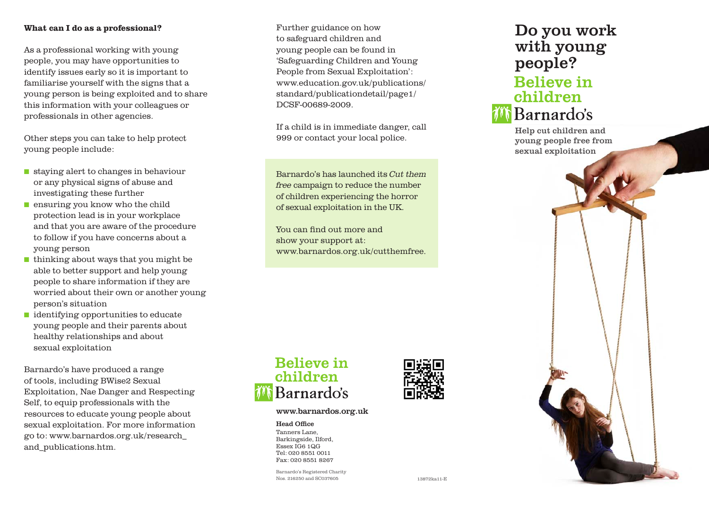#### What can I do as a professional?

As a professional working with young people, you may have opportunities to identify issues early so it is important to familiarise yourself with the signs that a young person is being exploited and to share this information with your colleagues or professionals in other agencies.

Other steps you can take to help protect young people include:

- $\blacksquare$  staying alert to changes in behaviour or any physical signs of abuse and investigating these further
- $\blacksquare$  ensuring you know who the child protection lead is in your workplace and that you are aware of the procedure to follow if you have concerns about a young person
- $\blacksquare$  thinking about ways that you might be able to better support and help young people to share information if they are worried about their own or another young person's situation
- $\blacksquare$  identifying opportunities to educate young people and their parents about healthy relationships and about sexual exploitation

Barnardo's have produced a range of tools, including BWise2 Sexual Exploitation, Nae Danger and Respecting Self, to equip professionals with the resources to educate young people about sexual exploitation. For more information go to: www.barnardos.org.uk/research\_ and\_publications.htm.

Further guidance on how to safeguard children and young people can be found in 'Safeguarding Children and Young People from Sexual Exploitation': www.education.gov.uk/publications/ standard/publicationdetail/page1/ DCSF-00689-2009.

If a child is in immediate danger, call 999 or contact your local police.

Barnardo's has launched its Cut them free campaign to reduce the number of children experiencing the horror of sexual exploitation in the UK.

You can find out more and show your support at: www.barnardos.org.uk/cutthemfree.

# **Believe in** children Barnardo's

#### www.barnardos.org.uk

Head Office Tanners Lane, Barkingside, Ilford, Essex IG6 1QG Tel: 020 8551 0011 Fax: 020 8551 8267

Barnardo's Registered Charity Nos. 216250 and SC037605



# Do you work with young people? **Believe in** children



Help cut children and young people free from sexual exploitation